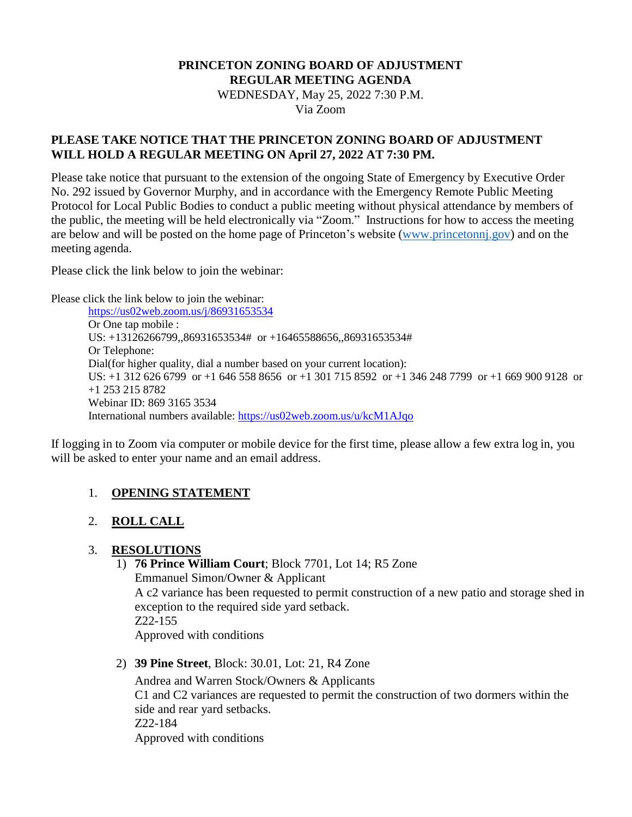# **PRINCETON ZONING BOARD OF ADJUSTMENT REGULAR MEETING AGENDA**

WEDNESDAY, May 25, 2022 7:30 P.M.

Via Zoom

## **PLEASE TAKE NOTICE THAT THE PRINCETON ZONING BOARD OF ADJUSTMENT WILL HOLD A REGULAR MEETING ON April 27, 2022 AT 7:30 PM.**

Please take notice that pursuant to the extension of the ongoing State of Emergency by Executive Order No. 292 issued by Governor Murphy, and in accordance with the Emergency Remote Public Meeting Protocol for Local Public Bodies to conduct a public meeting without physical attendance by members of the public, the meeting will be held electronically via "Zoom." Instructions for how to access the meeting are below and will be posted on the home page of Princeton's website [\(www.princetonnj.gov\)](http://www.princetonnj.gov/) and on the meeting agenda.

Please click the link below to join the webinar:

Please click the link below to join the webinar:

<https://us02web.zoom.us/j/86931653534> Or One tap mobile : US: +13126266799,,86931653534# or +16465588656,,86931653534# Or Telephone: Dial(for higher quality, dial a number based on your current location): US: +1 312 626 6799 or +1 646 558 8656 or +1 301 715 8592 or +1 346 248 7799 or +1 669 900 9128 or +1 253 215 8782 Webinar ID: 869 3165 3534 International numbers available:<https://us02web.zoom.us/u/kcM1AJqo>

If logging in to Zoom via computer or mobile device for the first time, please allow a few extra log in, you will be asked to enter your name and an email address.

## 1. **OPENING STATEMENT**

## 2. **ROLL CALL**

## 3. **RESOLUTIONS**

1) **76 Prince William Court**; Block 7701, Lot 14; R5 Zone

Emmanuel Simon/Owner & Applicant A c2 variance has been requested to permit construction of a new patio and storage shed in exception to the required side yard setback. Z22-155 Approved with conditions

2) **39 Pine Street**, Block: 30.01, Lot: 21, R4 Zone

Andrea and Warren Stock/Owners & Applicants C1 and C2 variances are requested to permit the construction of two dormers within the side and rear yard setbacks. Z22-184 Approved with conditions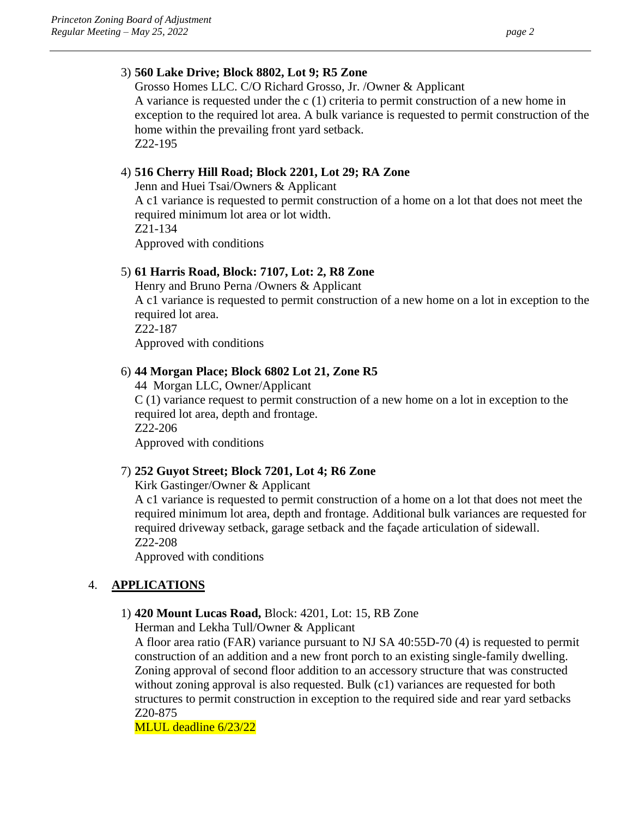#### 3) **560 Lake Drive; Block 8802, Lot 9; R5 Zone**

Grosso Homes LLC. C/O Richard Grosso, Jr. /Owner & Applicant A variance is requested under the c (1) criteria to permit construction of a new home in exception to the required lot area. A bulk variance is requested to permit construction of the home within the prevailing front yard setback. Z22-195

## 4) **516 Cherry Hill Road; Block 2201, Lot 29; RA Zone**

Jenn and Huei Tsai/Owners & Applicant A c1 variance is requested to permit construction of a home on a lot that does not meet the required minimum lot area or lot width. Z21-134 Approved with conditions

## 5) **61 Harris Road, Block: 7107, Lot: 2, R8 Zone**

Henry and Bruno Perna /Owners & Applicant A c1 variance is requested to permit construction of a new home on a lot in exception to the required lot area. Z22-187 Approved with conditions

#### 6) **44 Morgan Place; Block 6802 Lot 21, Zone R5**

44 Morgan LLC, Owner/Applicant C (1) variance request to permit construction of a new home on a lot in exception to the required lot area, depth and frontage. Z22-206 Approved with conditions

## 7) **252 Guyot Street; Block 7201, Lot 4; R6 Zone**

Kirk Gastinger/Owner & Applicant

A c1 variance is requested to permit construction of a home on a lot that does not meet the required minimum lot area, depth and frontage. Additional bulk variances are requested for required driveway setback, garage setback and the façade articulation of sidewall. Z22-208

Approved with conditions

## 4. **APPLICATIONS**

#### 1) **420 Mount Lucas Road,** Block: 4201, Lot: 15, RB Zone

Herman and Lekha Tull/Owner & Applicant

A floor area ratio (FAR) variance pursuant to NJ SA 40:55D-70 (4) is requested to permit construction of an addition and a new front porch to an existing single-family dwelling. Zoning approval of second floor addition to an accessory structure that was constructed without zoning approval is also requested. Bulk (c1) variances are requested for both structures to permit construction in exception to the required side and rear yard setbacks Z20-875

MLUL deadline 6/23/22